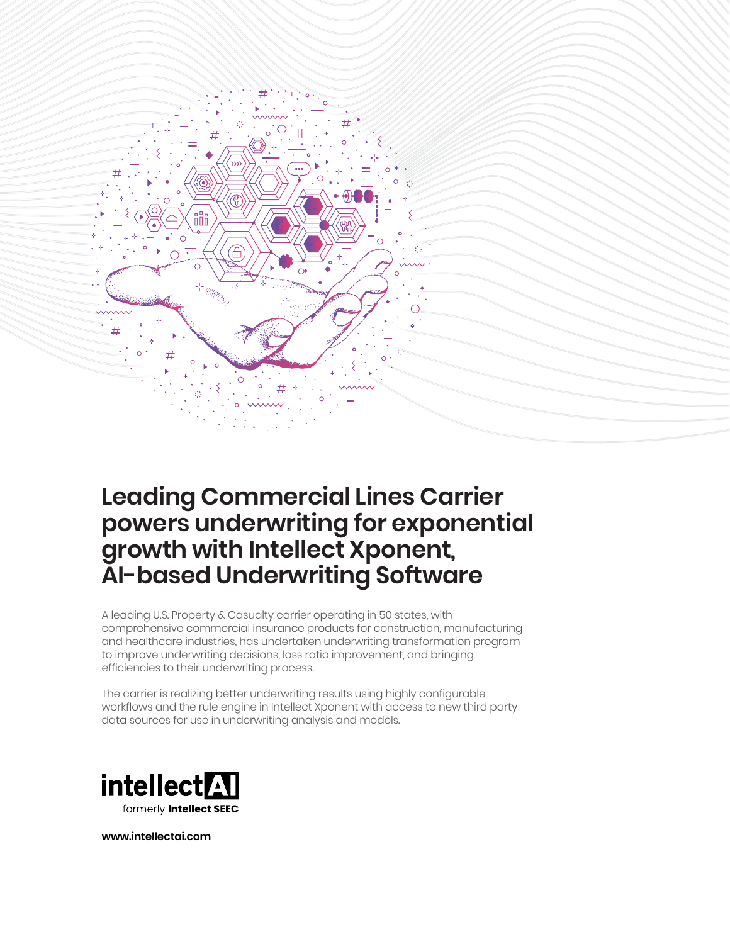

# **Leading Commercial Lines Carrier powers underwriting for exponential growth with Intellect Xponent, AI-based Underwriting Software**

A leading U.S. Property & Casualty carrier operating in 50 states, with comprehensive commercial insurance products for construction, manufacturing and healthcare industries, has undertaken underwriting transformation program to improve underwriting decisions, loss ratio improvement, and bringing efficiencies to their underwriting process.

The carrier is realizing better underwriting results using highly configurable workflows and the rule engine in Intellect Xponent with access to new third party data sources for use in underwriting analysis and models.



**www.intellectai.com**